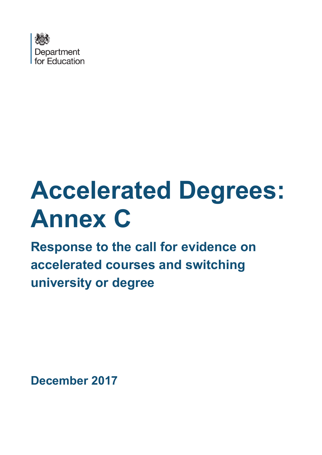

# **Accelerated Degrees: Annex C**

**Response to the call for evidence on accelerated courses and switching university or degree**

**December 2017**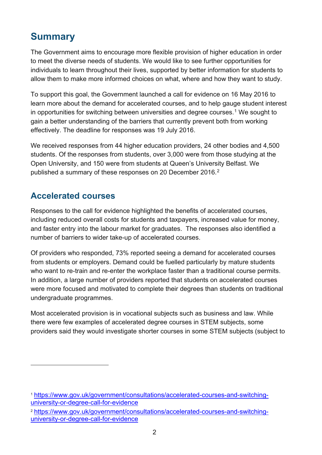## **Summary**

The Government aims to encourage more flexible provision of higher education in order to meet the diverse needs of students. We would like to see further opportunities for individuals to learn throughout their lives, supported by better information for students to allow them to make more informed choices on what, where and how they want to study.

To support this goal, the Government launched a call for evidence on 16 May 2016 to learn more about the demand for accelerated courses, and to help gauge student interest in opportunities for switching between universities and degree courses.<sup>[1](#page-1-0)</sup> We sought to gain a better understanding of the barriers that currently prevent both from working effectively. The deadline for responses was 19 July 2016.

We received responses from 44 higher education providers, 24 other bodies and 4,500 students. Of the responses from students, over 3,000 were from those studying at the Open University, and 150 were from students at Queen's University Belfast. We published a summary of these responses on [2](#page-1-1)0 December 2016.<sup>2</sup>

## **Accelerated courses**

 $\overline{a}$ 

Responses to the call for evidence highlighted the benefits of accelerated courses, including reduced overall costs for students and taxpayers, increased value for money, and faster entry into the labour market for graduates. The responses also identified a number of barriers to wider take-up of accelerated courses.

Of providers who responded, 73% reported seeing a demand for accelerated courses from students or employers. Demand could be fuelled particularly by mature students who want to re-train and re-enter the workplace faster than a traditional course permits. In addition, a large number of providers reported that students on accelerated courses were more focused and motivated to complete their degrees than students on traditional undergraduate programmes.

Most accelerated provision is in vocational subjects such as business and law. While there were few examples of accelerated degree courses in STEM subjects, some providers said they would investigate shorter courses in some STEM subjects (subject to

<span id="page-1-0"></span><sup>1</sup> [https://www.gov.uk/government/consultations/accelerated-courses-and-switching](https://www.gov.uk/government/consultations/accelerated-courses-and-switching-university-or-degree-call-for-evidence)[university-or-degree-call-for-evidence](https://www.gov.uk/government/consultations/accelerated-courses-and-switching-university-or-degree-call-for-evidence)

<span id="page-1-1"></span><sup>2</sup> [https://www.gov.uk/government/consultations/accelerated-courses-and-switching](https://www.gov.uk/government/consultations/accelerated-courses-and-switching-university-or-degree-call-for-evidence)[university-or-degree-call-for-evidence](https://www.gov.uk/government/consultations/accelerated-courses-and-switching-university-or-degree-call-for-evidence)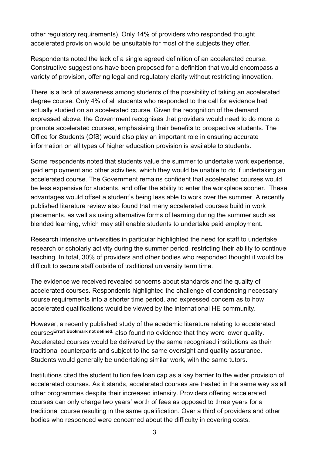other regulatory requirements). Only 14% of providers who responded thought accelerated provision would be unsuitable for most of the subjects they offer.

Respondents noted the lack of a single agreed definition of an accelerated course. Constructive suggestions have been proposed for a definition that would encompass a variety of provision, offering legal and regulatory clarity without restricting innovation.

There is a lack of awareness among students of the possibility of taking an accelerated degree course. Only 4% of all students who responded to the call for evidence had actually studied on an accelerated course. Given the recognition of the demand expressed above, the Government recognises that providers would need to do more to promote accelerated courses, emphasising their benefits to prospective students. The Office for Students (OfS) would also play an important role in ensuring accurate information on all types of higher education provision is available to students.

Some respondents noted that students value the summer to undertake work experience, paid employment and other activities, which they would be unable to do if undertaking an accelerated course. The Government remains confident that accelerated courses would be less expensive for students, and offer the ability to enter the workplace sooner. These advantages would offset a student's being less able to work over the summer. A recently published literature review also found that many accelerated courses build in work placements, as well as using alternative forms of learning during the summer such as blended learning, which may still enable students to undertake paid employment.

Research intensive universities in particular highlighted the need for staff to undertake research or scholarly activity during the summer period, restricting their ability to continue teaching. In total, 30% of providers and other bodies who responded thought it would be difficult to secure staff outside of traditional university term time.

The evidence we received revealed concerns about standards and the quality of accelerated courses. Respondents highlighted the challenge of condensing necessary course requirements into a shorter time period, and expressed concern as to how accelerated qualifications would be viewed by the international HE community.

However, a recently published study of the academic literature relating to accelerated courses**Error! Bookmark not defined.** also found no evidence that they were lower quality. Accelerated courses would be delivered by the same recognised institutions as their traditional counterparts and subject to the same oversight and quality assurance. Students would generally be undertaking similar work, with the same tutors.

Institutions cited the student tuition fee loan cap as a key barrier to the wider provision of accelerated courses. As it stands, accelerated courses are treated in the same way as all other programmes despite their increased intensity. Providers offering accelerated courses can only charge two years' worth of fees as opposed to three years for a traditional course resulting in the same qualification. Over a third of providers and other bodies who responded were concerned about the difficulty in covering costs.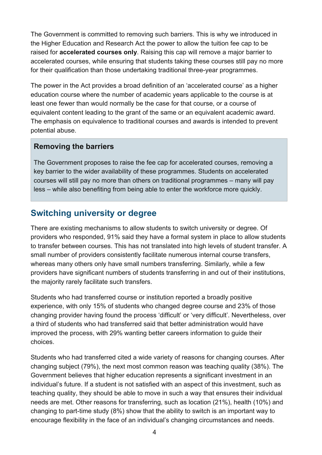The Government is committed to removing such barriers. This is why we introduced in the Higher Education and Research Act the power to allow the tuition fee cap to be raised for **accelerated courses only**. Raising this cap will remove a major barrier to accelerated courses, while ensuring that students taking these courses still pay no more for their qualification than those undertaking traditional three-year programmes.

The power in the Act provides a broad definition of an 'accelerated course' as a higher education course where the number of academic years applicable to the course is at least one fewer than would normally be the case for that course, or a course of equivalent content leading to the grant of the same or an equivalent academic award. The emphasis on equivalence to traditional courses and awards is intended to prevent potential abuse.

### **Removing the barriers**

The Government proposes to raise the fee cap for accelerated courses, removing a key barrier to the wider availability of these programmes. Students on accelerated courses will still pay no more than others on traditional programmes – many will pay less – while also benefiting from being able to enter the workforce more quickly.

## **Switching university or degree**

There are existing mechanisms to allow students to switch university or degree. Of providers who responded, 91% said they have a formal system in place to allow students to transfer between courses. This has not translated into high levels of student transfer. A small number of providers consistently facilitate numerous internal course transfers, whereas many others only have small numbers transferring. Similarly, while a few providers have significant numbers of students transferring in and out of their institutions, the majority rarely facilitate such transfers.

Students who had transferred course or institution reported a broadly positive experience, with only 15% of students who changed degree course and 23% of those changing provider having found the process 'difficult' or 'very difficult'. Nevertheless, over a third of students who had transferred said that better administration would have improved the process, with 29% wanting better careers information to guide their choices.

Students who had transferred cited a wide variety of reasons for changing courses. After changing subject (79%), the next most common reason was teaching quality (38%). The Government believes that higher education represents a significant investment in an individual's future. If a student is not satisfied with an aspect of this investment, such as teaching quality, they should be able to move in such a way that ensures their individual needs are met. Other reasons for transferring, such as location (21%), health (10%) and changing to part-time study (8%) show that the ability to switch is an important way to encourage flexibility in the face of an individual's changing circumstances and needs.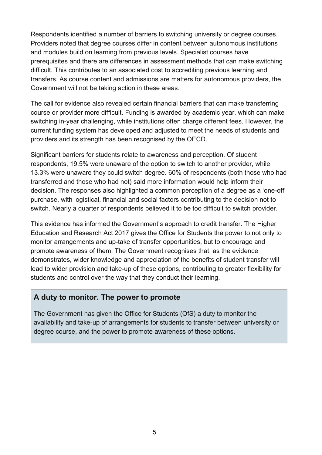Respondents identified a number of barriers to switching university or degree courses. Providers noted that degree courses differ in content between autonomous institutions and modules build on learning from previous levels. Specialist courses have prerequisites and there are differences in assessment methods that can make switching difficult. This contributes to an associated cost to accrediting previous learning and transfers. As course content and admissions are matters for autonomous providers, the Government will not be taking action in these areas.

The call for evidence also revealed certain financial barriers that can make transferring course or provider more difficult. Funding is awarded by academic year, which can make switching in-year challenging, while institutions often charge different fees. However, the current funding system has developed and adjusted to meet the needs of students and providers and its strength has been recognised by the OECD.

Significant barriers for students relate to awareness and perception. Of student respondents, 19.5% were unaware of the option to switch to another provider, while 13.3% were unaware they could switch degree. 60% of respondents (both those who had transferred and those who had not) said more information would help inform their decision. The responses also highlighted a common perception of a degree as a 'one-off' purchase, with logistical, financial and social factors contributing to the decision not to switch. Nearly a quarter of respondents believed it to be too difficult to switch provider.

This evidence has informed the Government's approach to credit transfer. The Higher Education and Research Act 2017 gives the Office for Students the power to not only to monitor arrangements and up-take of transfer opportunities, but to encourage and promote awareness of them. The Government recognises that, as the evidence demonstrates, wider knowledge and appreciation of the benefits of student transfer will lead to wider provision and take-up of these options, contributing to greater flexibility for students and control over the way that they conduct their learning.

## **A duty to monitor. The power to promote**

The Government has given the Office for Students (OfS) a duty to monitor the availability and take-up of arrangements for students to transfer between university or degree course, and the power to promote awareness of these options.